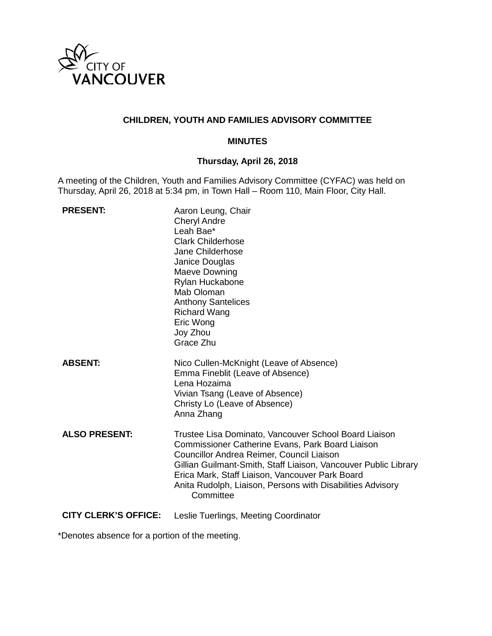

### **CHILDREN, YOUTH AND FAMILIES ADVISORY COMMITTEE**

#### **MINUTES**

# **Thursday, April 26, 2018**

A meeting of the Children, Youth and Families Advisory Committee (CYFAC) was held on Thursday, April 26, 2018 at 5:34 pm, in Town Hall – Room 110, Main Floor, City Hall.

| <b>PRESENT:</b>      | Aaron Leung, Chair<br><b>Cheryl Andre</b><br>Leah Bae*<br><b>Clark Childerhose</b><br>Jane Childerhose<br>Janice Douglas<br>Maeve Downing<br>Rylan Huckabone<br>Mab Oloman<br><b>Anthony Santelices</b><br><b>Richard Wang</b><br>Eric Wong<br>Joy Zhou<br>Grace Zhu                                                                                           |
|----------------------|----------------------------------------------------------------------------------------------------------------------------------------------------------------------------------------------------------------------------------------------------------------------------------------------------------------------------------------------------------------|
| <b>ABSENT:</b>       | Nico Cullen-McKnight (Leave of Absence)<br>Emma Fineblit (Leave of Absence)<br>Lena Hozaima<br>Vivian Tsang (Leave of Absence)<br>Christy Lo (Leave of Absence)<br>Anna Zhang                                                                                                                                                                                  |
| <b>ALSO PRESENT:</b> | Trustee Lisa Dominato, Vancouver School Board Liaison<br><b>Commissioner Catherine Evans, Park Board Liaison</b><br>Councillor Andrea Reimer, Council Liaison<br>Gillian Guilmant-Smith, Staff Liaison, Vancouver Public Library<br>Erica Mark, Staff Liaison, Vancouver Park Board<br>Anita Rudolph, Liaison, Persons with Disabilities Advisory<br>Committee |

**CITY CLERK'S OFFICE:** Leslie Tuerlings, Meeting Coordinator

\*Denotes absence for a portion of the meeting.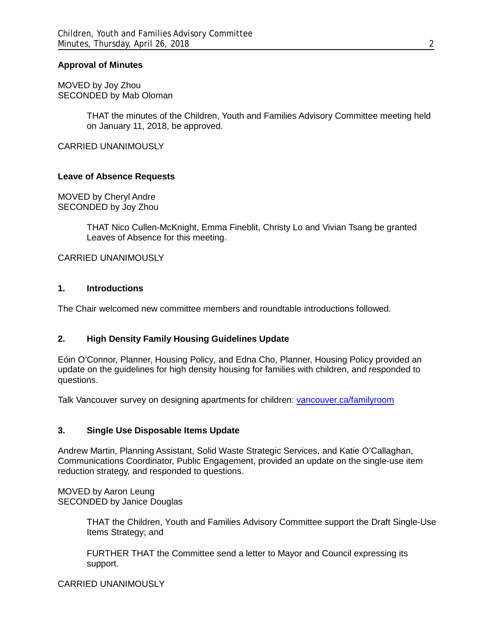#### **Approval of Minutes**

MOVED by Joy Zhou SECONDED by Mab Oloman

> THAT the minutes of the Children, Youth and Families Advisory Committee meeting held on January 11, 2018, be approved.

CARRIED UNANIMOUSLY

#### **Leave of Absence Requests**

MOVED by Cheryl Andre SECONDED by Joy Zhou

> THAT Nico Cullen-McKnight, Emma Fineblit, Christy Lo and Vivian Tsang be granted Leaves of Absence for this meeting.

CARRIED UNANIMOUSLY

#### **1. Introductions**

The Chair welcomed new committee members and roundtable introductions followed.

#### **2. High Density Family Housing Guidelines Update**

Eóin O'Connor, Planner, Housing Policy, and Edna Cho, Planner, Housing Policy provided an update on the guidelines for high density housing for families with children, and responded to questions.

Talk Vancouver survey on designing apartments for children: vancouver.ca/familyroom

#### **3. Single Use Disposable Items Update**

Andrew Martin, Planning Assistant, Solid Waste Strategic Services, and Katie O'Callaghan, Communications Coordinator, Public Engagement, provided an update on the single-use item reduction strategy, and responded to questions.

MOVED by Aaron Leung SECONDED by Janice Douglas

> THAT the Children, Youth and Families Advisory Committee support the Draft Single-Use Items Strategy; and

FURTHER THAT the Committee send a letter to Mayor and Council expressing its support.

#### CARRIED UNANIMOUSLY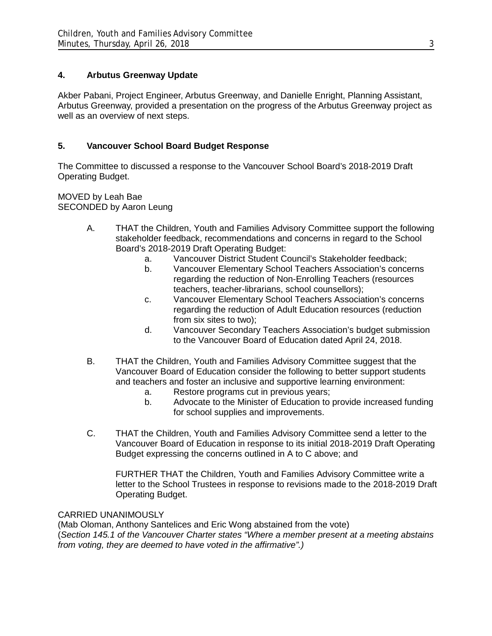# **4. Arbutus Greenway Update**

Akber Pabani, Project Engineer, Arbutus Greenway, and Danielle Enright, Planning Assistant, Arbutus Greenway, provided a presentation on the progress of the Arbutus Greenway project as well as an overview of next steps.

# **5. Vancouver School Board Budget Response**

The Committee to discussed a response to the Vancouver School Board's 2018-2019 Draft Operating Budget.

MOVED by Leah Bae SECONDED by Aaron Leung

- A. THAT the Children, Youth and Families Advisory Committee support the following stakeholder feedback, recommendations and concerns in regard to the School Board's 2018-2019 Draft Operating Budget:
	- a. Vancouver District Student Council's Stakeholder feedback;
	- b. Vancouver Elementary School Teachers Association's concerns regarding the reduction of Non-Enrolling Teachers (resources teachers, teacher-librarians, school counsellors);
	- c. Vancouver Elementary School Teachers Association's concerns regarding the reduction of Adult Education resources (reduction from six sites to two);
	- d. Vancouver Secondary Teachers Association's budget submission to the Vancouver Board of Education dated April 24, 2018.
- B. THAT the Children, Youth and Families Advisory Committee suggest that the Vancouver Board of Education consider the following to better support students and teachers and foster an inclusive and supportive learning environment:
	- a. Restore programs cut in previous years;
	- b. Advocate to the Minister of Education to provide increased funding for school supplies and improvements.
- C. THAT the Children, Youth and Families Advisory Committee send a letter to the Vancouver Board of Education in response to its initial 2018-2019 Draft Operating Budget expressing the concerns outlined in A to C above; and

FURTHER THAT the Children, Youth and Families Advisory Committee write a letter to the School Trustees in response to revisions made to the 2018-2019 Draft Operating Budget.

# CARRIED UNANIMOUSLY

(Mab Oloman, Anthony Santelices and Eric Wong abstained from the vote) (*Section 145.1 of the Vancouver Charter states "Where a member present at a meeting abstains from voting, they are deemed to have voted in the affirmative".)*